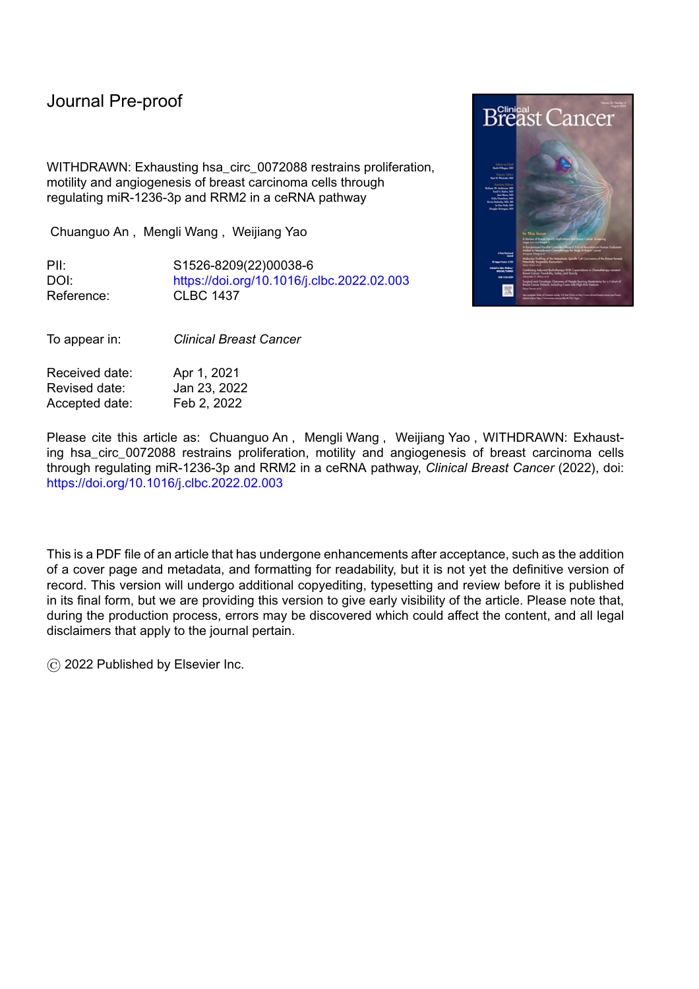## Journal Pre-proof

WITHDRAWN: Exhausting hsa\_circ\_0072088 restrains proliferation, motility and angiogenesis of breast carcinoma cells through regulating miR-1236-3p and RRM2 in a ceRNA pathway

Chuanguo An , Mengli Wang , Weijiang Yao

PII: S1526-8209(22)00038-6 DOI: <https://doi.org/10.1016/j.clbc.2022.02.003> Reference: CLBC 1437

To appear in: *Clinical Breast Cancer*

Received date: Apr 1, 2021 Revised date: Jan 23, 2022 Accepted date: Feb 2, 2022

Please cite this article as: Chuanguo An , Mengli Wang , Weijiang Yao , WITHDRAWN: Exhausting hsa\_circ\_0072088 restrains proliferation, motility and angiogenesis of breast carcinoma cells through regulating miR-1236-3p and RRM2 in a ceRNA pathway, *Clinical Breast Cancer* (2022), doi: <https://doi.org/10.1016/j.clbc.2022.02.003>

This is a PDF file of an article that has undergone enhancements after acceptance, such as the addition of a cover page and metadata, and formatting for readability, but it is not yet the definitive version of record. This version will undergo additional copyediting, typesetting and review before it is published in its final form, but we are providing this version to give early visibility of the article. Please note that, during the production process, errors may be discovered which could affect the content, and all legal disclaimers that apply to the journal pertain.

© 2022 Published by Elsevier Inc.